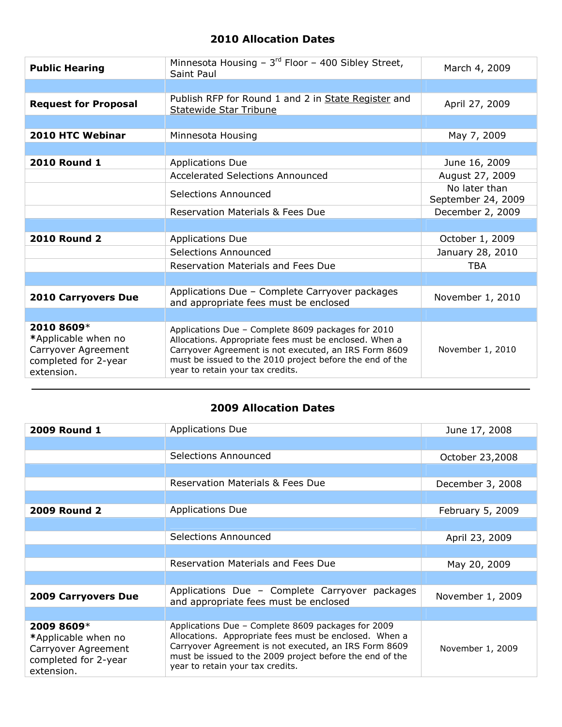## 2010 Allocation Dates

| <b>Public Hearing</b>                                                                          | Minnesota Housing - $3^{rd}$ Floor - 400 Sibley Street,<br>Saint Paul                                                                                                                                                                                                 | March 4, 2009                       |
|------------------------------------------------------------------------------------------------|-----------------------------------------------------------------------------------------------------------------------------------------------------------------------------------------------------------------------------------------------------------------------|-------------------------------------|
|                                                                                                |                                                                                                                                                                                                                                                                       |                                     |
| <b>Request for Proposal</b>                                                                    | Publish RFP for Round 1 and 2 in State Register and<br><b>Statewide Star Tribune</b>                                                                                                                                                                                  | April 27, 2009                      |
|                                                                                                |                                                                                                                                                                                                                                                                       |                                     |
| <b>2010 HTC Webinar</b>                                                                        | Minnesota Housing                                                                                                                                                                                                                                                     | May 7, 2009                         |
|                                                                                                |                                                                                                                                                                                                                                                                       |                                     |
| <b>2010 Round 1</b>                                                                            | <b>Applications Due</b>                                                                                                                                                                                                                                               | June 16, 2009                       |
|                                                                                                | Accelerated Selections Announced                                                                                                                                                                                                                                      | August 27, 2009                     |
|                                                                                                | Selections Announced                                                                                                                                                                                                                                                  | No later than<br>September 24, 2009 |
|                                                                                                | <b>Reservation Materials &amp; Fees Due</b>                                                                                                                                                                                                                           | December 2, 2009                    |
|                                                                                                |                                                                                                                                                                                                                                                                       |                                     |
| <b>2010 Round 2</b>                                                                            | <b>Applications Due</b>                                                                                                                                                                                                                                               | October 1, 2009                     |
|                                                                                                | Selections Announced                                                                                                                                                                                                                                                  | January 28, 2010                    |
|                                                                                                | <b>Reservation Materials and Fees Due</b>                                                                                                                                                                                                                             | <b>TBA</b>                          |
|                                                                                                |                                                                                                                                                                                                                                                                       |                                     |
| <b>2010 Carryovers Due</b>                                                                     | Applications Due - Complete Carryover packages<br>and appropriate fees must be enclosed                                                                                                                                                                               | November 1, 2010                    |
|                                                                                                |                                                                                                                                                                                                                                                                       |                                     |
| 2010 8609*<br>*Applicable when no<br>Carryover Agreement<br>completed for 2-year<br>extension. | Applications Due - Complete 8609 packages for 2010<br>Allocations. Appropriate fees must be enclosed. When a<br>Carryover Agreement is not executed, an IRS Form 8609<br>must be issued to the 2010 project before the end of the<br>year to retain your tax credits. | November 1, 2010                    |

## 2009 Allocation Dates

| <b>2009 Round 1</b>                                                                             | <b>Applications Due</b>                                                                                                                                                                                                                                               | June 17, 2008    |
|-------------------------------------------------------------------------------------------------|-----------------------------------------------------------------------------------------------------------------------------------------------------------------------------------------------------------------------------------------------------------------------|------------------|
|                                                                                                 |                                                                                                                                                                                                                                                                       |                  |
|                                                                                                 | Selections Announced                                                                                                                                                                                                                                                  | October 23,2008  |
|                                                                                                 |                                                                                                                                                                                                                                                                       |                  |
|                                                                                                 | Reservation Materials & Fees Due                                                                                                                                                                                                                                      | December 3, 2008 |
|                                                                                                 |                                                                                                                                                                                                                                                                       |                  |
| <b>2009 Round 2</b>                                                                             | <b>Applications Due</b>                                                                                                                                                                                                                                               | February 5, 2009 |
|                                                                                                 |                                                                                                                                                                                                                                                                       |                  |
|                                                                                                 | Selections Announced                                                                                                                                                                                                                                                  | April 23, 2009   |
|                                                                                                 |                                                                                                                                                                                                                                                                       |                  |
|                                                                                                 | Reservation Materials and Fees Due                                                                                                                                                                                                                                    | May 20, 2009     |
|                                                                                                 |                                                                                                                                                                                                                                                                       |                  |
| <b>2009 Carryovers Due</b>                                                                      | Applications Due - Complete Carryover packages<br>and appropriate fees must be enclosed                                                                                                                                                                               | November 1, 2009 |
|                                                                                                 |                                                                                                                                                                                                                                                                       |                  |
| $20098609*$<br>*Applicable when no<br>Carryover Agreement<br>completed for 2-year<br>extension. | Applications Due - Complete 8609 packages for 2009<br>Allocations. Appropriate fees must be enclosed. When a<br>Carryover Agreement is not executed, an IRS Form 8609<br>must be issued to the 2009 project before the end of the<br>year to retain your tax credits. | November 1, 2009 |